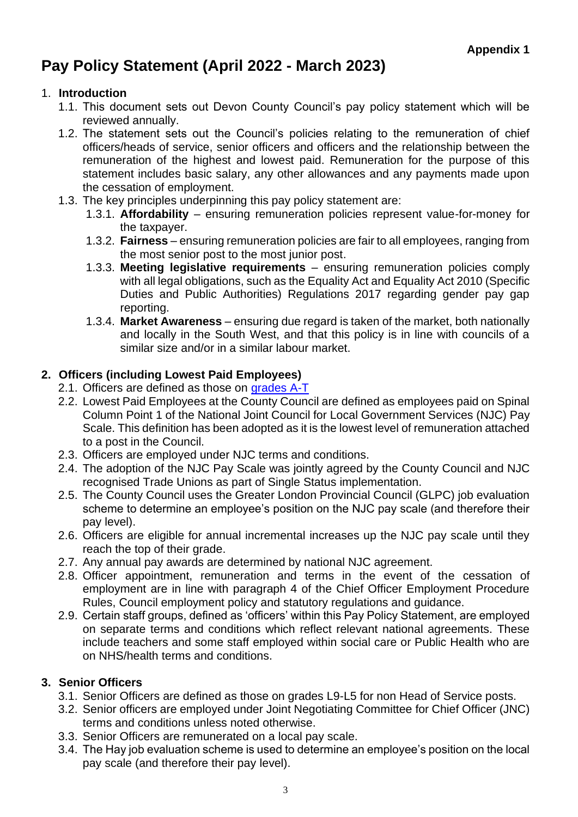# **Pay Policy Statement (April 2022 - March 2023)**

### 1. **Introduction**

- 1.1. This document sets out Devon County Council's pay policy statement which will be reviewed annually.
- 1.2. The statement sets out the Council's policies relating to the remuneration of chief officers/heads of service, senior officers and officers and the relationship between the remuneration of the highest and lowest paid. Remuneration for the purpose of this statement includes basic salary, any other allowances and any payments made upon the cessation of employment.
- 1.3. The key principles underpinning this pay policy statement are:
	- 1.3.1. **Affordability** ensuring remuneration policies represent value-for-money for the taxpayer.
	- 1.3.2. **Fairness** ensuring remuneration policies are fair to all employees, ranging from the most senior post to the most junior post.
	- 1.3.3. **Meeting legislative requirements** ensuring remuneration policies comply with all legal obligations, such as the Equality Act and Equality Act 2010 (Specific Duties and Public Authorities) Regulations 2017 regarding gender pay gap reporting.
	- 1.3.4. **Market Awareness** ensuring due regard is taken of the market, both nationally and locally in the South West, and that this policy is in line with councils of a similar size and/or in a similar labour market.

## **2. Officers (including Lowest Paid Employees)**

- 2.1. Officers are defined as those on [grades A-T](https://inside.devon.gov.uk/task/salary-rates-and-scales/njc-payscale/#chapter_head)
- 2.2. Lowest Paid Employees at the County Council are defined as employees paid on Spinal Column Point 1 of the National Joint Council for Local Government Services (NJC) Pay Scale. This definition has been adopted as it is the lowest level of remuneration attached to a post in the Council.
- 2.3. Officers are employed under NJC terms and conditions.
- 2.4. The adoption of the NJC Pay Scale was jointly agreed by the County Council and NJC recognised Trade Unions as part of Single Status implementation.
- 2.5. The County Council uses the Greater London Provincial Council (GLPC) job evaluation scheme to determine an employee's position on the NJC pay scale (and therefore their pay level).
- 2.6. Officers are eligible for annual incremental increases up the NJC pay scale until they reach the top of their grade.
- 2.7. Any annual pay awards are determined by national NJC agreement.
- 2.8. Officer appointment, remuneration and terms in the event of the cessation of employment are in line with paragraph 4 of the Chief Officer Employment Procedure Rules, Council employment policy and statutory regulations and guidance.
- 2.9. Certain staff groups, defined as 'officers' within this Pay Policy Statement, are employed on separate terms and conditions which reflect relevant national agreements. These include teachers and some staff employed within social care or Public Health who are on NHS/health terms and conditions.

# **3. Senior Officers**

- 3.1. Senior Officers are defined as those on grades L9-L5 for non Head of Service posts.
- 3.2. Senior officers are employed under [Joint Negotiating Committee f](http://www.lge.gov.uk/lge/core/page.do?pageId=122009)or Chief Officer (JNC) terms and conditions unless noted otherwise.
- 3.3. Senior Officers are remunerated on a [local pay scale.](http://www.devon.gov.uk/senior-officers-pay-scale.pdf)
- 3.4. The Hay job evaluation scheme is used to determine an employee's position on the local pay scale (and therefore their pay level).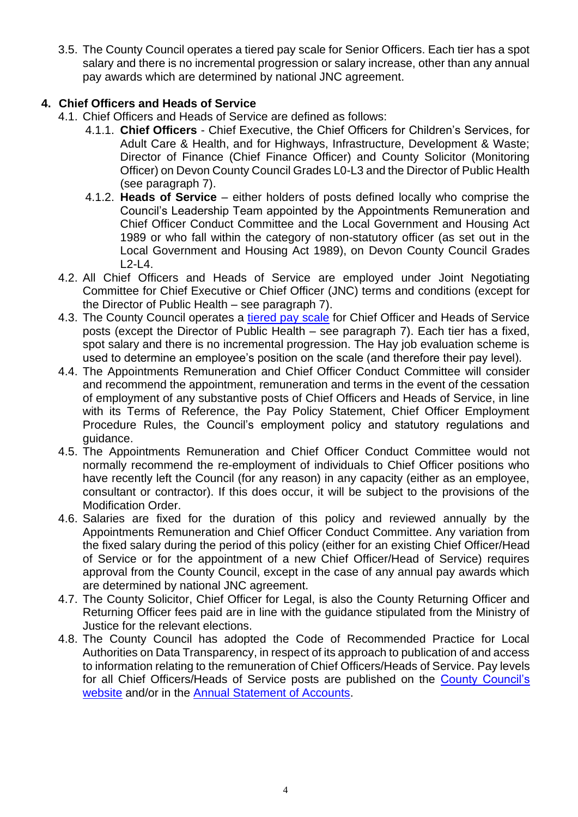3.5. The County Council operates a tiered pay scale for Senior Officers. Each tier has a spot salary and there is no incremental progression or salary increase, other than any annual pay awards which are determined by national JNC agreement.

### **4. Chief Officers and Heads of Service**

- 4.1. Chief Officers and Heads of Service are defined as follows:
	- 4.1.1. **Chief Officers** Chief Executive, the Chief Officers for Children's Services, for Adult Care & Health, and for Highways, Infrastructure, Development & Waste; Director of Finance (Chief Finance Officer) and County Solicitor (Monitoring Officer) on Devon County Council Grades L0-L3 and the Director of Public Health (see paragraph 7).
	- 4.1.2. **Heads of Service**  either holders of posts defined locally who comprise the Council's Leadership Team appointed by the Appointments Remuneration and Chief Officer Conduct Committee and the Local Government and Housing Act 1989 or who fall within the category of non-statutory officer (as set out in the Local Government and Housing Act 1989), on [Devon County Council Grades](http://www.devon.gov.uk/chief-officer-pay-scale.pdf)   $L2-L4$ .
- 4.2. All Chief Officers and Heads of Service are employed under [Joint Negotiating](http://www.lge.gov.uk/lge/core/page.do?pageId=122009)  [Committee f](http://www.lge.gov.uk/lge/core/page.do?pageId=122009)or Chief Executive or Chief Officer (JNC) terms and conditions (except for the Director of Public Health – see paragraph 7).
- 4.3. The County Council operates a [tiered pay scale](https://inside.devon.gov.uk/task/salary-rates-and-scales/njc-payscale/#chapter_head) for [Chief Officer and Heads of Service](http://www.devon.gov.uk/chief-officer-pay-scale.pdf)  [posts](http://www.devon.gov.uk/chief-officer-pay-scale.pdf) (except the Director of Public Health – see paragraph 7). Each tier has a fixed, spot salary and there is no incremental progression. The Hay job evaluation scheme is used to determine an employee's position on the scale (and therefore their pay level).
- 4.4. The Appointments Remuneration and Chief Officer Conduct Committee will consider and recommend the appointment, remuneration and terms in the event of the cessation of employment of any substantive posts of Chief Officers and Heads of Service, in line with its Terms of Reference, the Pay Policy Statement, Chief Officer Employment Procedure Rules, the Council's employment policy and statutory regulations and guidance.
- 4.5. The Appointments Remuneration and Chief Officer Conduct Committee would not normally recommend the re-employment of individuals to Chief Officer positions who have recently left the Council (for any reason) in any capacity (either as an employee, consultant or contractor). If this does occur, it will be subject to the provisions of the Modification Order.
- 4.6. Salaries are fixed for the duration of this policy and reviewed annually by the Appointments Remuneration and Chief Officer Conduct Committee. Any variation from the fixed salary during the period of this policy (either for an existing Chief Officer/Head of Service or for the appointment of a new Chief Officer/Head of Service) requires approval from the County Council, except in the case of any annual pay awards which are determined by national JNC agreement.
- 4.7. The County Solicitor, Chief Officer for Legal, is also the County Returning Officer and Returning Officer fees paid are in line with the guidance stipulated from the Ministry of Justice for the relevant elections.
- 4.8. The County Council has adopted the Code of Recommended Practice for Local Authorities on Data Transparency, in respect of its approach to publication of and access to information relating to the remuneration of Chief Officers/Heads of Service. Pay levels for all Chief Officers/Heads of Service posts are published on the [County Council's](https://www.devon.gov.uk/factsandfigures/open-data/the-council-staffing-and-pay/)  [website](https://www.devon.gov.uk/factsandfigures/open-data/the-council-staffing-and-pay/) and/or in the [Annual Statement of Accounts.](https://www.devon.gov.uk/finance-and-budget/audit-and-inspection/)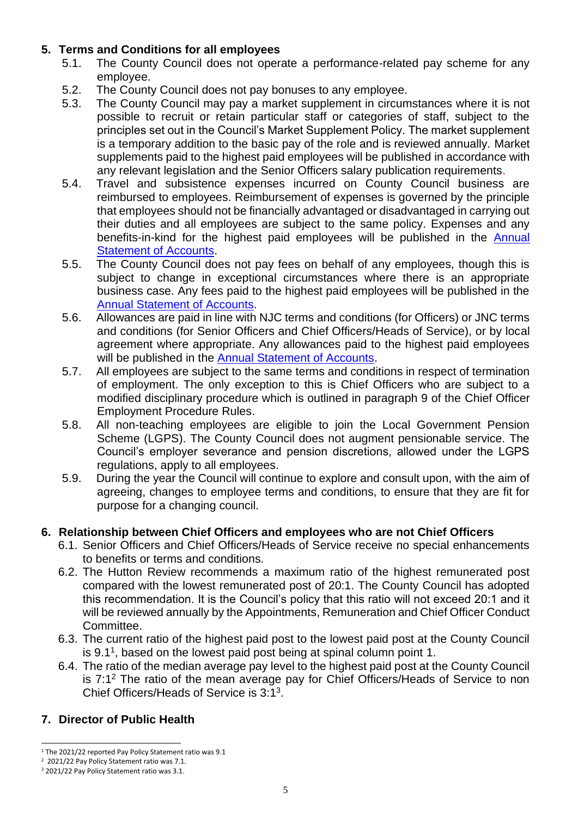## **5. Terms and Conditions for all employees**

- 5.1. The County Council does not operate a performance-related pay scheme for any employee.
- 5.2. The County Council does not pay bonuses to any employee.
- 5.3. The County Council may pay a market supplement in circumstances where it is not possible to recruit or retain particular staff or categories of staff, subject to the principles set out in the Council's Market Supplement Policy. The market supplement is a temporary addition to the basic pay of the role and is reviewed annually. Market supplements paid to the highest paid employees will be published in accordance with any relevant legislation and the Senior Officers salary publication requirements.
- 5.4. Travel and subsistence expenses incurred on County Council business are reimbursed to employees. Reimbursement of expenses is governed by the principle that employees should not be financially advantaged or disadvantaged in carrying out their duties and all employees are subject to the same policy. Expenses and any benefits-in-kind for the highest paid employees will be published in the **Annual** [Statement of Accounts.](https://www.devon.gov.uk/finance-and-budget/audit-and-inspection/)
- 5.5. The County Council does not pay fees on behalf of any employees, though this is subject to change in exceptional circumstances where there is an appropriate business case. Any fees paid to the highest paid employees will be published in the [Annual Statement of Accounts.](https://www.devon.gov.uk/finance-and-budget/audit-and-inspection/)
- 5.6. Allowances are paid in line with NJC terms and conditions (for Officers) or JNC terms and conditions (for Senior Officers and Chief Officers/Heads of Service), or by local agreement where appropriate. Any allowances paid to the highest paid employees will be published in the [Annual Statement of Accounts.](https://www.devon.gov.uk/finance-and-budget/audit-and-inspection/)
- 5.7. All employees are subject to the same terms and conditions in respect of termination of employment. The only exception to this is Chief Officers who are subject to a modified disciplinary procedure which is outlined in paragraph 9 of the Chief Officer Employment Procedure Rules.
- 5.8. All non-teaching employees are eligible to join the Local Government Pension Scheme (LGPS). The County Council does not augment pensionable service. The Council's employer severance and pension discretions, allowed under the LGPS regulations, apply to all employees.
- 5.9. During the year the Council will continue to explore and consult upon, with the aim of agreeing, changes to employee terms and conditions, to ensure that they are fit for purpose for a changing council.

#### **6. Relationship between Chief Officers and employees who are not Chief Officers**

- 6.1. Senior Officers and Chief Officers/Heads of Service receive no special enhancements to benefits or terms and conditions.
- 6.2. The Hutton Review recommends a maximum ratio of the highest remunerated post compared with the lowest remunerated post of 20:1. The County Council has adopted this recommendation. It is the Council's policy that this ratio will not exceed 20:1 and it will be reviewed annually by the Appointments, Remuneration and Chief Officer Conduct Committee.
- 6.3. The current ratio of the highest paid post to the lowest paid post at the County Council is 9.1<sup>1</sup> , based on the lowest paid post being at spinal column point 1.
- 6.4. The ratio of the median average pay level to the highest paid post at the County Council is  $7:1<sup>2</sup>$  The ratio of the mean average pay for Chief Officers/Heads of Service to non Chief Officers/Heads of Service is 3:1<sup>3</sup>.

#### **7. Director of Public Health**

<sup>&</sup>lt;sup>1</sup> The 2021/22 reported Pay Policy Statement ratio was 9.1

<sup>&</sup>lt;sup>2</sup> 2021/22 Pay Policy Statement ratio was 7.1. <sup>3</sup> 2021/22 Pay Policy Statement ratio was 3.1.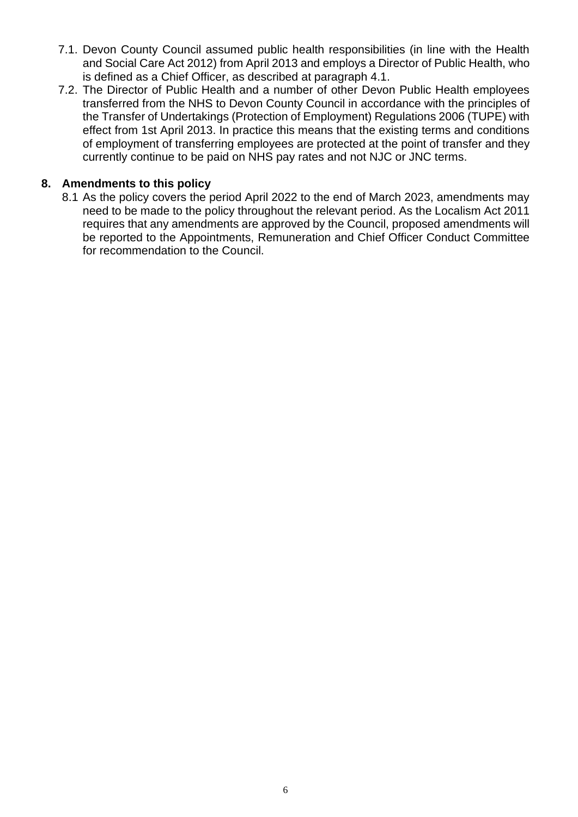- 7.1. Devon County Council assumed public health responsibilities (in line with the Health and Social Care Act 2012) from April 2013 and employs a Director of Public Health, who is defined as a Chief Officer, as described at paragraph 4.1.
- 7.2. The Director of Public Health and a number of other Devon Public Health employees transferred from the NHS to Devon County Council in accordance with the principles of the Transfer of Undertakings (Protection of Employment) Regulations 2006 (TUPE) with effect from 1st April 2013. In practice this means that the existing terms and conditions of employment of transferring employees are protected at the point of transfer and they currently continue to be paid on NHS pay rates and not NJC or JNC terms.

#### **8. Amendments to this policy**

8.1 As the policy covers the period April 2022 to the end of March 2023, amendments may need to be made to the policy throughout the relevant period. As the Localism Act 2011 requires that any amendments are approved by the Council, proposed amendments will be reported to the Appointments, Remuneration and Chief Officer Conduct Committee for recommendation to the Council.